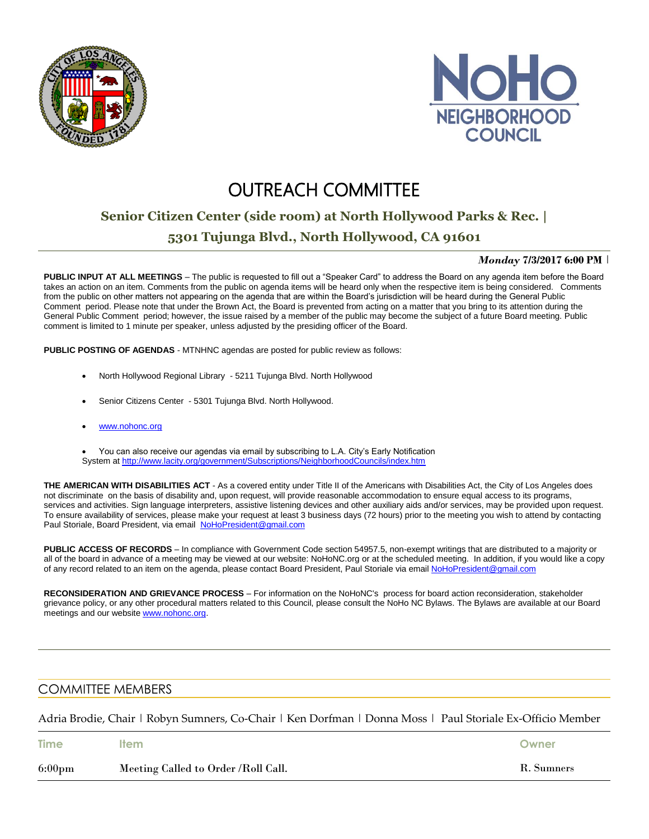



# **OUTREACH COMMITTEE**

## **Senior Citizen Center (side room) at North Hollywood Parks & Rec. |**

### **5301 Tujunga Blvd., North Hollywood, CA 91601**

#### *Monday* **7/3/2017 6:00 PM** |

**PUBLIC INPUT AT ALL MEETINGS** – The public is requested to fill out a "Speaker Card" to address the Board on any agenda item before the Board takes an action on an item. Comments from the public on agenda items will be heard only when the respective item is being considered. Comments from the public on other matters not appearing on the agenda that are within the Board's jurisdiction will be heard during the General Public Comment period. Please note that under the Brown Act, the Board is prevented from acting on a matter that you bring to its attention during the General Public Comment period; however, the issue raised by a member of the public may become the subject of a future Board meeting. Public comment is limited to 1 minute per speaker, unless adjusted by the presiding officer of the Board.

**PUBLIC POSTING OF AGENDAS** - MTNHNC agendas are posted for public review as follows:

- North Hollywood Regional Library 5211 Tujunga Blvd. North Hollywood
- Senior Citizens Center 5301 Tujunga Blvd. North Hollywood.
- [www.nohonc.org](http://www.nohonc.org/)

 You can also receive our agendas via email by subscribing to L.A. City's Early Notification System at <http://www.lacity.org/government/Subscriptions/NeighborhoodCouncils/index.htm>

**THE AMERICAN WITH DISABILITIES ACT** - As a covered entity under Title II of the Americans with Disabilities Act, the City of Los Angeles does not discriminate on the basis of disability and, upon request, will provide reasonable accommodation to ensure equal access to its programs, services and activities. Sign language interpreters, assistive listening devices and other auxiliary aids and/or services, may be provided upon request. To ensure availability of services, please make your request at least 3 business days (72 hours) prior to the meeting you wish to attend by contacting Paul Storiale, Board President, via email [NoHoPresident@gmail.com](mailto:NoHoPresident@gmail.com)

**PUBLIC ACCESS OF RECORDS** – In compliance with Government Code section 54957.5, non-exempt writings that are distributed to a majority or all of the board in advance of a meeting may be viewed at our website: NoHoNC.org or at the scheduled meeting. In addition, if you would like a copy of any record related to an item on the agenda, please contact Board President, Paul Storiale via email [NoHoPresident@gmail.com](mailto:NoHoPresident@gmail.com)

**RECONSIDERATION AND GRIEVANCE PROCESS** – For information on the NoHoNC's process for board action reconsideration, stakeholder grievance policy, or any other procedural matters related to this Council, please consult the NoHo NC Bylaws. The Bylaws are available at our Board meetings and our website [www.nohonc.org.](http://www.nohonc.org/)

### COMMITTEE MEMBERS

Adria Brodie, Chair | Robyn Sumners, Co-Chair | Ken Dorfman | Donna Moss | Paul Storiale Ex-Officio Member

| <b>Time</b>      | ltem                                | Owner      |
|------------------|-------------------------------------|------------|
| $6:00 \text{pm}$ | Meeting Called to Order /Roll Call. | R. Sumners |